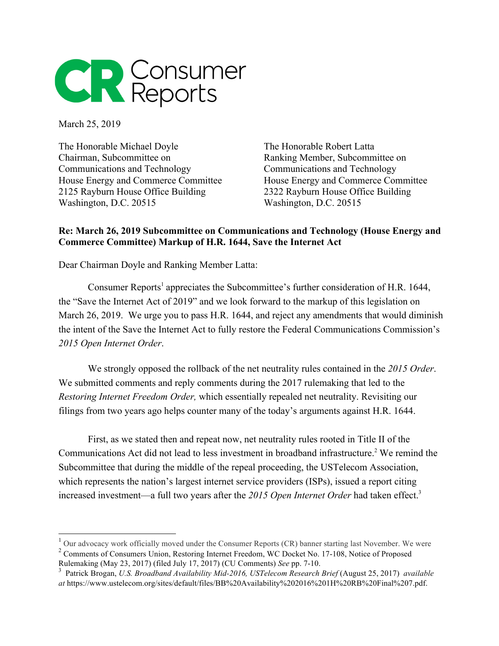

March 25, 2019

The Honorable Michael Doyle Chairman, Subcommittee on Communications and Technology House Energy and Commerce Committee 2125 Rayburn House Office Building Washington, D.C. 20515

The Honorable Robert Latta Ranking Member, Subcommittee on Communications and Technology House Energy and Commerce Committee 2322 Rayburn House Office Building Washington, D.C. 20515

## **Re: March 26, 2019 Subcommittee on Communications and Technology (House Energy and Commerce Committee) Markup of H.R. 1644, Save the Internet Act**

Dear Chairman Doyle and Ranking Member Latta:

Consumer Reports<sup>1</sup> appreciates the Subcommittee's further consideration of H.R. 1644, the "Save the Internet Act of 2019" and we look forward to the markup of this legislation on March 26, 2019. We urge you to pass H.R. 1644, and reject any amendments that would diminish the intent of the Save the Internet Act to fully restore the Federal Communications Commission's *2015 Open Internet Order*.

We strongly opposed the rollback of the net neutrality rules contained in the *2015 Order*. We submitted comments and reply comments during the 2017 rulemaking that led to the *Restoring Internet Freedom Order,* which essentially repealed net neutrality. Revisiting our filings from two years ago helps counter many of the today's arguments against H.R. 1644.

First, as we stated then and repeat now, net neutrality rules rooted in Title II of the Communications Act did not lead to less investment in broadband infrastructure.<sup>2</sup> We remind the Subcommittee that during the middle of the repeal proceeding, the USTelecom Association, which represents the nation's largest internet service providers (ISPs), issued a report citing increased investment—a full two years after the 2015 Open Internet Order had taken effect.<sup>3</sup>

 $1$  Our advocacy work officially moved under the Consumer Reports (CR) banner starting last November. We were

<sup>&</sup>lt;sup>2</sup> Comments of Consumers Union, Restoring Internet Freedom, WC Docket No. 17-108, Notice of Proposed Rulemaking (May 23, 2017) (filed July 17, 2017) (CU Comments) *See* pp. 7-10.

<sup>3</sup> Patrick Brogan, *U.S. Broadband Availability Mid-2016, USTelecom Research Brief* (August 25, 2017) *available at* https://www.ustelecom.org/sites/default/files/BB%20Availability%202016%201H%20RB%20Final%207.pdf.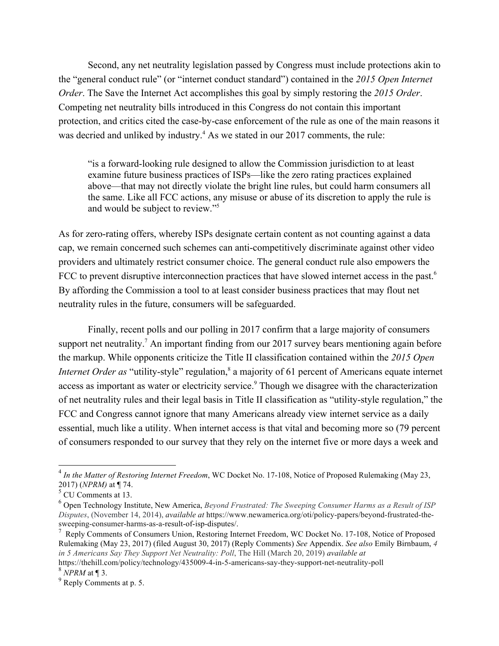Second, any net neutrality legislation passed by Congress must include protections akin to the "general conduct rule" (or "internet conduct standard") contained in the *2015 Open Internet Order*. The Save the Internet Act accomplishes this goal by simply restoring the *2015 Order*. Competing net neutrality bills introduced in this Congress do not contain this important protection, and critics cited the case-by-case enforcement of the rule as one of the main reasons it was decried and unliked by industry.<sup>4</sup> As we stated in our 2017 comments, the rule:

"is a forward-looking rule designed to allow the Commission jurisdiction to at least examine future business practices of ISPs—like the zero rating practices explained above—that may not directly violate the bright line rules, but could harm consumers all the same. Like all FCC actions, any misuse or abuse of its discretion to apply the rule is and would be subject to review."5

As for zero-rating offers, whereby ISPs designate certain content as not counting against a data cap, we remain concerned such schemes can anti-competitively discriminate against other video providers and ultimately restrict consumer choice. The general conduct rule also empowers the FCC to prevent disruptive interconnection practices that have slowed internet access in the past.<sup>6</sup> By affording the Commission a tool to at least consider business practices that may flout net neutrality rules in the future, consumers will be safeguarded.

Finally, recent polls and our polling in 2017 confirm that a large majority of consumers support net neutrality.<sup>7</sup> An important finding from our 2017 survey bears mentioning again before the markup. While opponents criticize the Title II classification contained within the *2015 Open Internet Order as* "utility-style" regulation,<sup>8</sup> a majority of 61 percent of Americans equate internet access as important as water or electricity service.<sup>9</sup> Though we disagree with the characterization of net neutrality rules and their legal basis in Title II classification as "utility-style regulation," the FCC and Congress cannot ignore that many Americans already view internet service as a daily essential, much like a utility. When internet access is that vital and becoming more so (79 percent of consumers responded to our survey that they rely on the internet five or more days a week and

https://thehill.com/policy/technology/435009-4-in-5-americans-say-they-support-net-neutrality-poll <sup>8</sup> *NPRM* at ¶ 3.

<sup>4</sup> *In the Matter of Restoring Internet Freedom*, WC Docket No. 17-108, Notice of Proposed Rulemaking (May 23, 2017) (*NPRM)* at ¶ 74.

 $<sup>5</sup>$  CU Comments at 13.</sup>

<sup>6</sup> Open Technology Institute, New America, *Beyond Frustrated: The Sweeping Consumer Harms as a Result of ISP Disputes*, (November 14, 2014), *available at* https://www.newamerica.org/oti/policy-papers/beyond-frustrated-thesweeping-consumer-harms-as-a-result-of-isp-disputes/.

<sup>&</sup>lt;sup>7</sup> Reply Comments of Consumers Union, Restoring Internet Freedom, WC Docket No. 17-108, Notice of Proposed Rulemaking (May 23, 2017) (filed August 30, 2017) (Reply Comments) *See* Appendix. *See also* Emily Birnbaum, *4 in 5 Americans Say They Support Net Neutrality: Poll*, The Hill (March 20, 2019) *available at* 

 $9^9$  Reply Comments at p. 5.